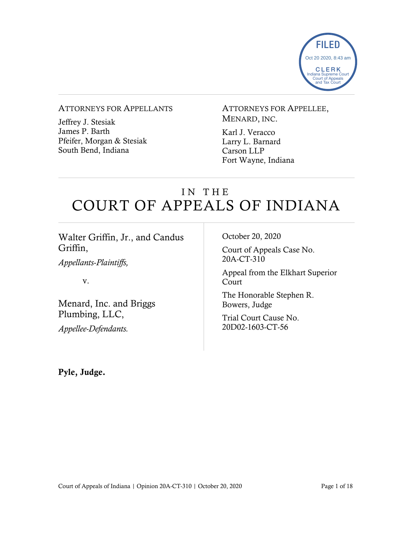

### ATTORNEYS FOR APPELLANTS

Jeffrey J. Stesiak James P. Barth Pfeifer, Morgan & Stesiak South Bend, Indiana

ATTORNEYS FOR APPELLEE, MENARD, INC.

Karl J. Veracco Larry L. Barnard Carson LLP Fort Wayne, Indiana

# IN THE COURT OF APPEALS OF INDIANA

| Walter Griffin, Jr., and Candus                                          | October 20, 2020                          |
|--------------------------------------------------------------------------|-------------------------------------------|
| Griffin,                                                                 | Court of Appeals Case No.                 |
| <i>Appellants-Plaintiffs,</i>                                            | 20A-CT-310                                |
| V.                                                                       | Appeal from the Elkhart Superior<br>Court |
| Menard, Inc. and Briggs<br>Plumbing, LLC,<br><i>Appellee-Defendants.</i> | The Honorable Stephen R.<br>Bowers, Judge |
|                                                                          | Trial Court Cause No.<br>20D02-1603-CT-56 |
|                                                                          |                                           |

Pyle, Judge.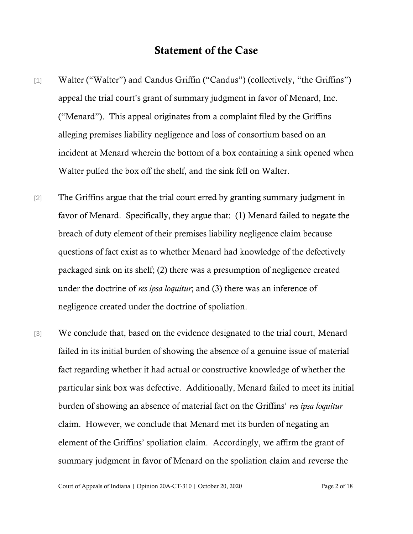## Statement of the Case

- [1] Walter ("Walter") and Candus Griffin ("Candus") (collectively, "the Griffins") appeal the trial court's grant of summary judgment in favor of Menard, Inc. ("Menard"). This appeal originates from a complaint filed by the Griffins alleging premises liability negligence and loss of consortium based on an incident at Menard wherein the bottom of a box containing a sink opened when Walter pulled the box off the shelf, and the sink fell on Walter.
- [2] The Griffins argue that the trial court erred by granting summary judgment in favor of Menard. Specifically, they argue that: (1) Menard failed to negate the breach of duty element of their premises liability negligence claim because questions of fact exist as to whether Menard had knowledge of the defectively packaged sink on its shelf; (2) there was a presumption of negligence created under the doctrine of *res ipsa loquitur*; and (3) there was an inference of negligence created under the doctrine of spoliation.
- [3] We conclude that, based on the evidence designated to the trial court, Menard failed in its initial burden of showing the absence of a genuine issue of material fact regarding whether it had actual or constructive knowledge of whether the particular sink box was defective. Additionally, Menard failed to meet its initial burden of showing an absence of material fact on the Griffins' *res ipsa loquitur* claim. However, we conclude that Menard met its burden of negating an element of the Griffins' spoliation claim. Accordingly, we affirm the grant of summary judgment in favor of Menard on the spoliation claim and reverse the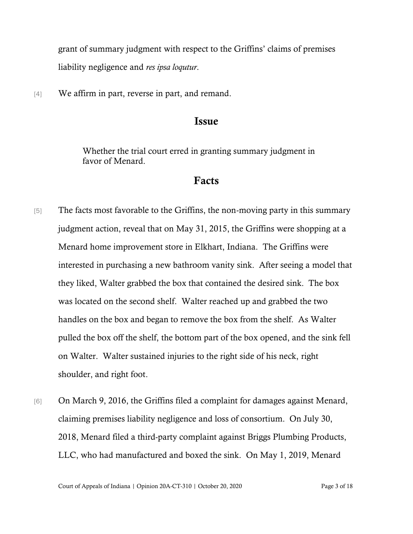grant of summary judgment with respect to the Griffins' claims of premises liability negligence and *res ipsa loqutur*.

[4] We affirm in part, reverse in part, and remand.

## Issue

Whether the trial court erred in granting summary judgment in favor of Menard.

## Facts

- [5] The facts most favorable to the Griffins, the non-moving party in this summary judgment action, reveal that on May 31, 2015, the Griffins were shopping at a Menard home improvement store in Elkhart, Indiana. The Griffins were interested in purchasing a new bathroom vanity sink. After seeing a model that they liked, Walter grabbed the box that contained the desired sink. The box was located on the second shelf. Walter reached up and grabbed the two handles on the box and began to remove the box from the shelf. As Walter pulled the box off the shelf, the bottom part of the box opened, and the sink fell on Walter. Walter sustained injuries to the right side of his neck, right shoulder, and right foot.
- [6] On March 9, 2016, the Griffins filed a complaint for damages against Menard, claiming premises liability negligence and loss of consortium. On July 30, 2018, Menard filed a third-party complaint against Briggs Plumbing Products, LLC, who had manufactured and boxed the sink. On May 1, 2019, Menard

Court of Appeals of Indiana | Opinion 20A-CT-310 | October 20, 2020 Page 3 of 18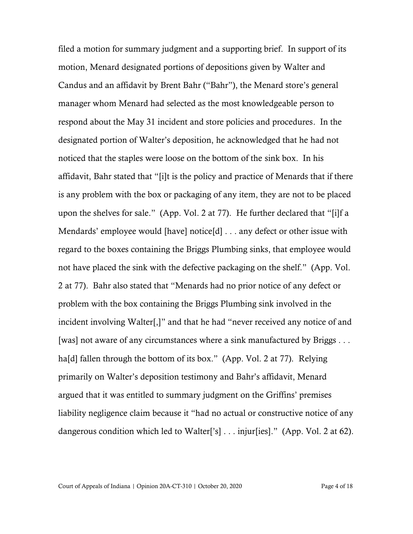filed a motion for summary judgment and a supporting brief. In support of its motion, Menard designated portions of depositions given by Walter and Candus and an affidavit by Brent Bahr ("Bahr"), the Menard store's general manager whom Menard had selected as the most knowledgeable person to respond about the May 31 incident and store policies and procedures. In the designated portion of Walter's deposition, he acknowledged that he had not noticed that the staples were loose on the bottom of the sink box. In his affidavit, Bahr stated that "[i]t is the policy and practice of Menards that if there is any problem with the box or packaging of any item, they are not to be placed upon the shelves for sale." (App. Vol. 2 at 77). He further declared that "[i]f a Mendards' employee would [have] notice[d] . . . any defect or other issue with regard to the boxes containing the Briggs Plumbing sinks, that employee would not have placed the sink with the defective packaging on the shelf." (App. Vol. 2 at 77). Bahr also stated that "Menards had no prior notice of any defect or problem with the box containing the Briggs Plumbing sink involved in the incident involving Walter[,]" and that he had "never received any notice of and [was] not aware of any circumstances where a sink manufactured by Briggs . . . ha[d] fallen through the bottom of its box." (App. Vol. 2 at 77). Relying primarily on Walter's deposition testimony and Bahr's affidavit, Menard argued that it was entitled to summary judgment on the Griffins' premises liability negligence claim because it "had no actual or constructive notice of any dangerous condition which led to Walter['s] . . . injur[ies]." (App. Vol. 2 at 62).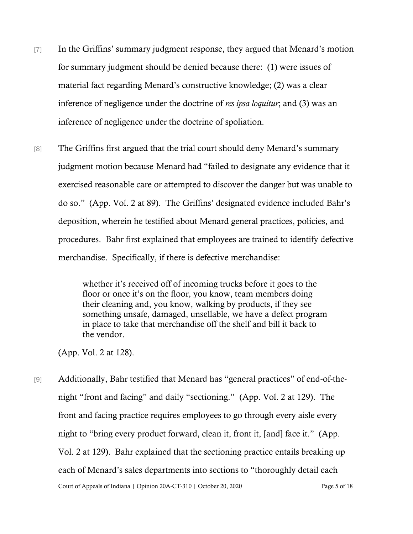- [7] In the Griffins' summary judgment response, they argued that Menard's motion for summary judgment should be denied because there: (1) were issues of material fact regarding Menard's constructive knowledge; (2) was a clear inference of negligence under the doctrine of *res ipsa loquitur*; and (3) was an inference of negligence under the doctrine of spoliation.
- [8] The Griffins first argued that the trial court should deny Menard's summary judgment motion because Menard had "failed to designate any evidence that it exercised reasonable care or attempted to discover the danger but was unable to do so." (App. Vol. 2 at 89). The Griffins' designated evidence included Bahr's deposition, wherein he testified about Menard general practices, policies, and procedures. Bahr first explained that employees are trained to identify defective merchandise. Specifically, if there is defective merchandise:

whether it's received off of incoming trucks before it goes to the floor or once it's on the floor, you know, team members doing their cleaning and, you know, walking by products, if they see something unsafe, damaged, unsellable, we have a defect program in place to take that merchandise off the shelf and bill it back to the vendor.

(App. Vol. 2 at 128).

Court of Appeals of Indiana | Opinion 20A-CT-310 | October 20, 2020 Page 5 of 18 [9] Additionally, Bahr testified that Menard has "general practices" of end-of-thenight "front and facing" and daily "sectioning." (App. Vol. 2 at 129). The front and facing practice requires employees to go through every aisle every night to "bring every product forward, clean it, front it, [and] face it." (App. Vol. 2 at 129). Bahr explained that the sectioning practice entails breaking up each of Menard's sales departments into sections to "thoroughly detail each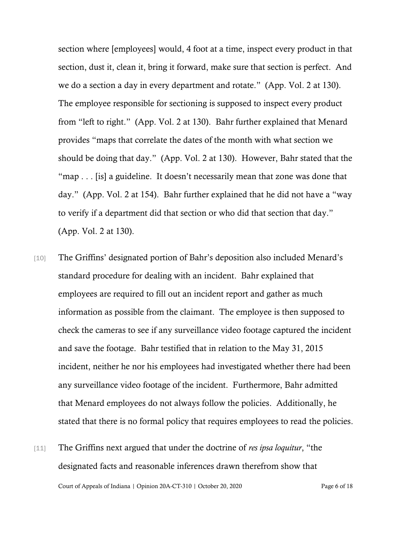section where [employees] would, 4 foot at a time, inspect every product in that section, dust it, clean it, bring it forward, make sure that section is perfect. And we do a section a day in every department and rotate." (App. Vol. 2 at 130). The employee responsible for sectioning is supposed to inspect every product from "left to right." (App. Vol. 2 at 130). Bahr further explained that Menard provides "maps that correlate the dates of the month with what section we should be doing that day." (App. Vol. 2 at 130). However, Bahr stated that the "map . . . [is] a guideline. It doesn't necessarily mean that zone was done that day." (App. Vol. 2 at 154). Bahr further explained that he did not have a "way to verify if a department did that section or who did that section that day." (App. Vol. 2 at 130).

- [10] The Griffins' designated portion of Bahr's deposition also included Menard's standard procedure for dealing with an incident. Bahr explained that employees are required to fill out an incident report and gather as much information as possible from the claimant. The employee is then supposed to check the cameras to see if any surveillance video footage captured the incident and save the footage. Bahr testified that in relation to the May 31, 2015 incident, neither he nor his employees had investigated whether there had been any surveillance video footage of the incident. Furthermore, Bahr admitted that Menard employees do not always follow the policies. Additionally, he stated that there is no formal policy that requires employees to read the policies.
- Court of Appeals of Indiana | Opinion 20A-CT-310 | October 20, 2020 Page 6 of 18 [11] The Griffins next argued that under the doctrine of *res ipsa loquitur*, "the designated facts and reasonable inferences drawn therefrom show that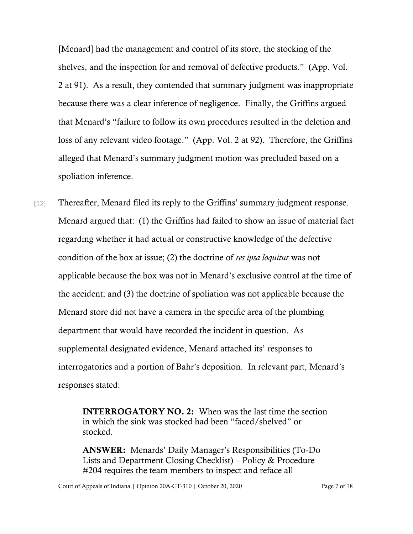[Menard] had the management and control of its store, the stocking of the shelves, and the inspection for and removal of defective products." (App. Vol. 2 at 91). As a result, they contended that summary judgment was inappropriate because there was a clear inference of negligence. Finally, the Griffins argued that Menard's "failure to follow its own procedures resulted in the deletion and loss of any relevant video footage." (App. Vol. 2 at 92). Therefore, the Griffins alleged that Menard's summary judgment motion was precluded based on a spoliation inference.

[12] Thereafter, Menard filed its reply to the Griffins' summary judgment response. Menard argued that: (1) the Griffins had failed to show an issue of material fact regarding whether it had actual or constructive knowledge of the defective condition of the box at issue; (2) the doctrine of *res ipsa loquitur* was not applicable because the box was not in Menard's exclusive control at the time of the accident; and (3) the doctrine of spoliation was not applicable because the Menard store did not have a camera in the specific area of the plumbing department that would have recorded the incident in question. As supplemental designated evidence, Menard attached its' responses to interrogatories and a portion of Bahr's deposition. In relevant part, Menard's responses stated:

> INTERROGATORY NO. 2: When was the last time the section in which the sink was stocked had been "faced/shelved" or stocked.

ANSWER: Menards' Daily Manager's Responsibilities (To-Do Lists and Department Closing Checklist) – Policy & Procedure #204 requires the team members to inspect and reface all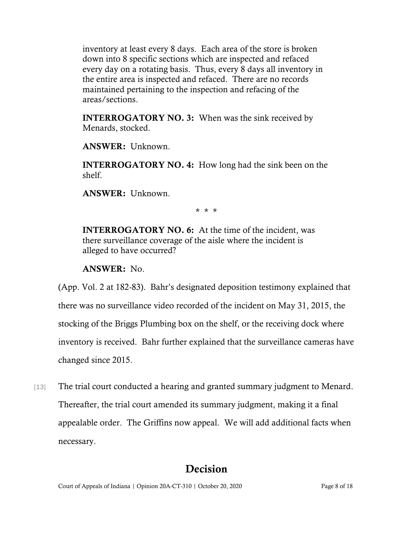inventory at least every 8 days. Each area of the store is broken down into 8 specific sections which are inspected and refaced every day on a rotating basis. Thus, every 8 days all inventory in the entire area is inspected and refaced. There are no records maintained pertaining to the inspection and refacing of the areas/sections.

**INTERROGATORY NO. 3:** When was the sink received by Menards, stocked.

ANSWER: Unknown.

INTERROGATORY NO. 4: How long had the sink been on the shelf.

ANSWER: Unknown.

\* \* \*

INTERROGATORY NO. 6: At the time of the incident, was there surveillance coverage of the aisle where the incident is alleged to have occurred?

ANSWER: No.

(App. Vol. 2 at 182-83). Bahr's designated deposition testimony explained that there was no surveillance video recorded of the incident on May 31, 2015, the stocking of the Briggs Plumbing box on the shelf, or the receiving dock where inventory is received. Bahr further explained that the surveillance cameras have changed since 2015.

[13] The trial court conducted a hearing and granted summary judgment to Menard. Thereafter, the trial court amended its summary judgment, making it a final appealable order. The Griffins now appeal. We will add additional facts when necessary.

## Decision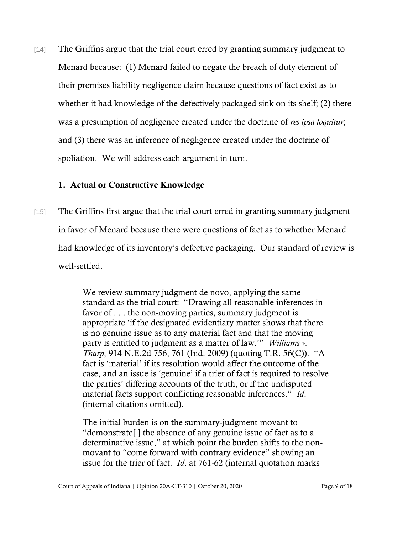[14] The Griffins argue that the trial court erred by granting summary judgment to Menard because: (1) Menard failed to negate the breach of duty element of their premises liability negligence claim because questions of fact exist as to whether it had knowledge of the defectively packaged sink on its shelf; (2) there was a presumption of negligence created under the doctrine of *res ipsa loquitur*; and (3) there was an inference of negligence created under the doctrine of spoliation. We will address each argument in turn.

## 1. Actual or Constructive Knowledge

[15] The Griffins first argue that the trial court erred in granting summary judgment in favor of Menard because there were questions of fact as to whether Menard had knowledge of its inventory's defective packaging. Our standard of review is well-settled.

> We review summary judgment de novo, applying the same standard as the trial court: "Drawing all reasonable inferences in favor of . . . the non-moving parties, summary judgment is appropriate 'if the designated evidentiary matter shows that there is no genuine issue as to any material fact and that the moving party is entitled to judgment as a matter of law.'" *Williams v. Tharp*, 914 N.E.2d 756, 761 (Ind. 2009) (quoting T.R. 56(C)). "A fact is 'material' if its resolution would affect the outcome of the case, and an issue is 'genuine' if a trier of fact is required to resolve the parties' differing accounts of the truth, or if the undisputed material facts support conflicting reasonable inferences." *Id*. (internal citations omitted).

The initial burden is on the summary-judgment movant to "demonstrate[ ] the absence of any genuine issue of fact as to a determinative issue," at which point the burden shifts to the nonmovant to "come forward with contrary evidence" showing an issue for the trier of fact. *Id*. at 761-62 (internal quotation marks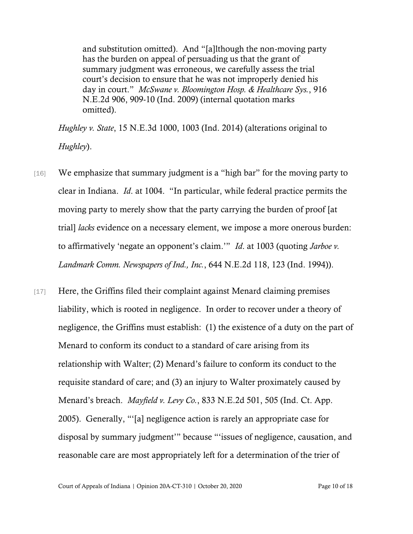and substitution omitted). And "[a]lthough the non-moving party has the burden on appeal of persuading us that the grant of summary judgment was erroneous, we carefully assess the trial court's decision to ensure that he was not improperly denied his day in court." *McSwane v. Bloomington Hosp. & Healthcare Sys.*, 916 N.E.2d 906, 909-10 (Ind. 2009) (internal quotation marks omitted).

*Hughley v. State*, 15 N.E.3d 1000, 1003 (Ind. 2014) (alterations original to *Hughley*).

- [16] We emphasize that summary judgment is a "high bar" for the moving party to clear in Indiana. *Id*. at 1004. "In particular, while federal practice permits the moving party to merely show that the party carrying the burden of proof [at trial] *lacks* evidence on a necessary element, we impose a more onerous burden: to affirmatively 'negate an opponent's claim.'" *Id*. at 1003 (quoting *Jarboe v. Landmark Comm. Newspapers of Ind., Inc.*, 644 N.E.2d 118, 123 (Ind. 1994)).
- [17] Here, the Griffins filed their complaint against Menard claiming premises liability, which is rooted in negligence. In order to recover under a theory of negligence, the Griffins must establish: (1) the existence of a duty on the part of Menard to conform its conduct to a standard of care arising from its relationship with Walter; (2) Menard's failure to conform its conduct to the requisite standard of care; and (3) an injury to Walter proximately caused by Menard's breach. *Mayfield v. Levy Co.*, 833 N.E.2d 501, 505 (Ind. Ct. App. 2005). Generally, "'[a] negligence action is rarely an appropriate case for disposal by summary judgment'" because "'issues of negligence, causation, and reasonable care are most appropriately left for a determination of the trier of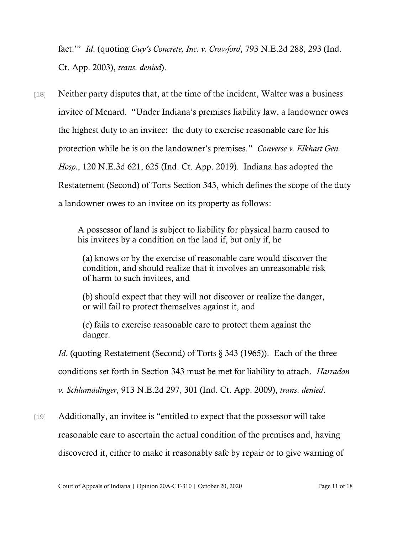fact.'" *Id*. (quoting *Guy's Concrete, Inc. v. Crawford*, 793 N.E.2d 288, 293 (Ind. Ct. App. 2003), *trans*. *denied*).

[18] Neither party disputes that, at the time of the incident, Walter was a business invitee of Menard. "Under Indiana's premises liability law, a landowner owes the highest duty to an invitee: the duty to exercise reasonable care for his protection while he is on the landowner's premises." *Converse v. Elkhart Gen. Hosp.*, 120 N.E.3d 621, 625 (Ind. Ct. App. 2019). Indiana has adopted the Restatement (Second) of Torts Section 343, which defines the scope of the duty a landowner owes to an invitee on its property as follows:

> A possessor of land is subject to liability for physical harm caused to his invitees by a condition on the land if, but only if, he

(a) knows or by the exercise of reasonable care would discover the condition, and should realize that it involves an unreasonable risk of harm to such invitees, and

(b) should expect that they will not discover or realize the danger, or will fail to protect themselves against it, and

(c) fails to exercise reasonable care to protect them against the danger.

*Id.* (quoting Restatement (Second) of Torts § 343 (1965)). Each of the three

conditions set forth in Section 343 must be met for liability to attach. *Harradon* 

*v. Schlamadinger*, 913 N.E.2d 297, 301 (Ind. Ct. App. 2009), *trans*. *denied*.

[19] Additionally, an invitee is "entitled to expect that the possessor will take reasonable care to ascertain the actual condition of the premises and, having discovered it, either to make it reasonably safe by repair or to give warning of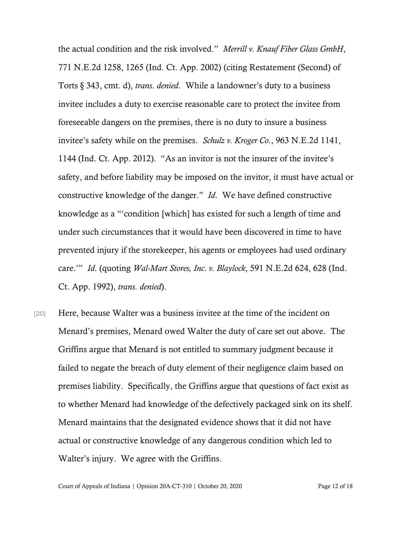the actual condition and the risk involved." *Merrill v. Knauf Fiber Glass GmbH*, 771 N.E.2d 1258, 1265 (Ind. Ct. App. 2002) (citing Restatement (Second) of Torts § 343, cmt. d), *trans*. *denied*. While a landowner's duty to a business invitee includes a duty to exercise reasonable care to protect the invitee from foreseeable dangers on the premises, there is no duty to insure a business invitee's safety while on the premises. *Schulz v. Kroger Co.*, 963 N.E.2d 1141, 1144 (Ind. Ct. App. 2012). "As an invitor is not the insurer of the invitee's safety, and before liability may be imposed on the invitor, it must have actual or constructive knowledge of the danger." *Id*. We have defined constructive knowledge as a "'condition [which] has existed for such a length of time and under such circumstances that it would have been discovered in time to have prevented injury if the storekeeper, his agents or employees had used ordinary care.'" *Id*. (quoting *Wal-Mart Stores, Inc. v. Blaylock*, 591 N.E.2d 624, 628 (Ind. Ct. App. 1992), *trans*. *denied*).

[20] Here, because Walter was a business invitee at the time of the incident on Menard's premises, Menard owed Walter the duty of care set out above. The Griffins argue that Menard is not entitled to summary judgment because it failed to negate the breach of duty element of their negligence claim based on premises liability. Specifically, the Griffins argue that questions of fact exist as to whether Menard had knowledge of the defectively packaged sink on its shelf. Menard maintains that the designated evidence shows that it did not have actual or constructive knowledge of any dangerous condition which led to Walter's injury. We agree with the Griffins.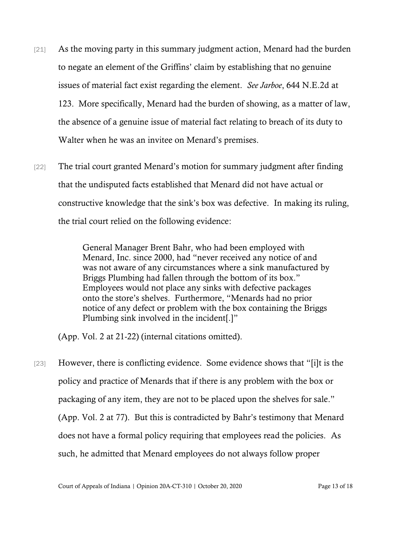- [21] As the moving party in this summary judgment action, Menard had the burden to negate an element of the Griffins' claim by establishing that no genuine issues of material fact exist regarding the element. *See Jarboe*, 644 N.E.2d at 123. More specifically, Menard had the burden of showing, as a matter of law, the absence of a genuine issue of material fact relating to breach of its duty to Walter when he was an invitee on Menard's premises.
- [22] The trial court granted Menard's motion for summary judgment after finding that the undisputed facts established that Menard did not have actual or constructive knowledge that the sink's box was defective. In making its ruling, the trial court relied on the following evidence:

General Manager Brent Bahr, who had been employed with Menard, Inc. since 2000, had "never received any notice of and was not aware of any circumstances where a sink manufactured by Briggs Plumbing had fallen through the bottom of its box." Employees would not place any sinks with defective packages onto the store's shelves. Furthermore, "Menards had no prior notice of any defect or problem with the box containing the Briggs Plumbing sink involved in the incident[.]"

(App. Vol. 2 at 21-22) (internal citations omitted).

[23] However, there is conflicting evidence. Some evidence shows that "[i]t is the policy and practice of Menards that if there is any problem with the box or packaging of any item, they are not to be placed upon the shelves for sale." (App. Vol. 2 at 77). But this is contradicted by Bahr's testimony that Menard does not have a formal policy requiring that employees read the policies. As such, he admitted that Menard employees do not always follow proper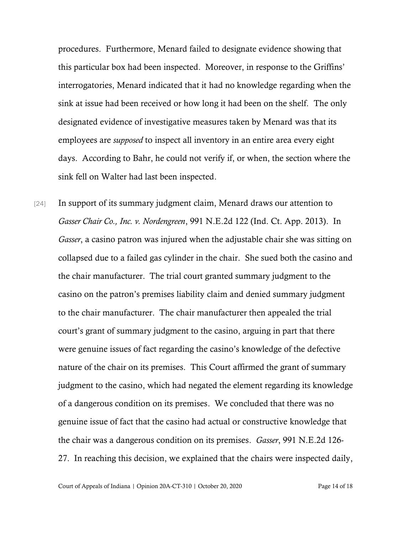procedures. Furthermore, Menard failed to designate evidence showing that this particular box had been inspected. Moreover, in response to the Griffins' interrogatories, Menard indicated that it had no knowledge regarding when the sink at issue had been received or how long it had been on the shelf. The only designated evidence of investigative measures taken by Menard was that its employees are *supposed* to inspect all inventory in an entire area every eight days. According to Bahr, he could not verify if, or when, the section where the sink fell on Walter had last been inspected.

[24] In support of its summary judgment claim, Menard draws our attention to *Gasser Chair Co., Inc. v. Nordengreen*, 991 N.E.2d 122 (Ind. Ct. App. 2013). In *Gasser*, a casino patron was injured when the adjustable chair she was sitting on collapsed due to a failed gas cylinder in the chair. She sued both the casino and the chair manufacturer. The trial court granted summary judgment to the casino on the patron's premises liability claim and denied summary judgment to the chair manufacturer. The chair manufacturer then appealed the trial court's grant of summary judgment to the casino, arguing in part that there were genuine issues of fact regarding the casino's knowledge of the defective nature of the chair on its premises. This Court affirmed the grant of summary judgment to the casino, which had negated the element regarding its knowledge of a dangerous condition on its premises. We concluded that there was no genuine issue of fact that the casino had actual or constructive knowledge that the chair was a dangerous condition on its premises. *Gasser*, 991 N.E.2d 126- 27. In reaching this decision, we explained that the chairs were inspected daily,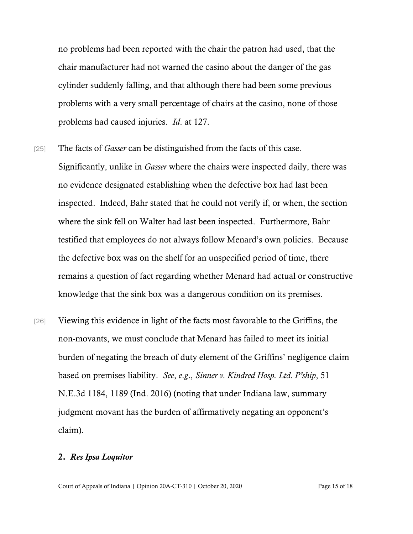no problems had been reported with the chair the patron had used, that the chair manufacturer had not warned the casino about the danger of the gas cylinder suddenly falling, and that although there had been some previous problems with a very small percentage of chairs at the casino, none of those problems had caused injuries. *Id*. at 127.

- [25] The facts of *Gasser* can be distinguished from the facts of this case. Significantly, unlike in *Gasser* where the chairs were inspected daily, there was no evidence designated establishing when the defective box had last been inspected. Indeed, Bahr stated that he could not verify if, or when, the section where the sink fell on Walter had last been inspected. Furthermore, Bahr testified that employees do not always follow Menard's own policies. Because the defective box was on the shelf for an unspecified period of time, there remains a question of fact regarding whether Menard had actual or constructive knowledge that the sink box was a dangerous condition on its premises.
- [26] Viewing this evidence in light of the facts most favorable to the Griffins, the non-movants, we must conclude that Menard has failed to meet its initial burden of negating the breach of duty element of the Griffins' negligence claim based on premises liability. *See*, *e*.*g*., *Sinner v. Kindred Hosp. Ltd. P'ship*, 51 N.E.3d 1184, 1189 (Ind. 2016) (noting that under Indiana law, summary judgment movant has the burden of affirmatively negating an opponent's claim).

#### 2. *Res Ipsa Loquitor*

Court of Appeals of Indiana | Opinion 20A-CT-310 | October 20, 2020 Page 15 of 18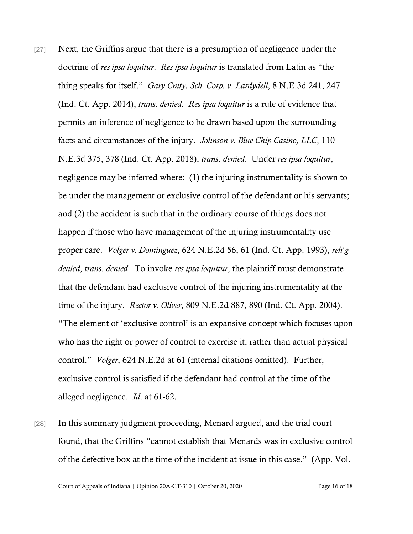- [27] Next, the Griffins argue that there is a presumption of negligence under the doctrine of *res ipsa loquitur*. *Res ipsa loquitur* is translated from Latin as "the thing speaks for itself." *Gary Cmty. Sch. Corp. v*. *Lardydell*, 8 N.E.3d 241, 247 (Ind. Ct. App. 2014), *trans*. *denied*. *Res ipsa loquitur* is a rule of evidence that permits an inference of negligence to be drawn based upon the surrounding facts and circumstances of the injury. *Johnson v. Blue Chip Casino, LLC*, 110 N.E.3d 375, 378 (Ind. Ct. App. 2018), *trans*. *denied*. Under *res ipsa loquitur*, negligence may be inferred where: (1) the injuring instrumentality is shown to be under the management or exclusive control of the defendant or his servants; and (2) the accident is such that in the ordinary course of things does not happen if those who have management of the injuring instrumentality use proper care. *Volger v. Dominguez*, 624 N.E.2d 56, 61 (Ind. Ct. App. 1993), *reh*'*g denied*, *trans*. *denied*. To invoke *res ipsa loquitur*, the plaintiff must demonstrate that the defendant had exclusive control of the injuring instrumentality at the time of the injury. *Rector v. Oliver*, 809 N.E.2d 887, 890 (Ind. Ct. App. 2004). "The element of 'exclusive control' is an expansive concept which focuses upon who has the right or power of control to exercise it, rather than actual physical control." *Volger*, 624 N.E.2d at 61 (internal citations omitted). Further, exclusive control is satisfied if the defendant had control at the time of the alleged negligence. *Id*. at 61-62.
- [28] In this summary judgment proceeding, Menard argued, and the trial court found, that the Griffins "cannot establish that Menards was in exclusive control of the defective box at the time of the incident at issue in this case." (App. Vol.

Court of Appeals of Indiana | Opinion 20A-CT-310 | October 20, 2020 Page 16 of 18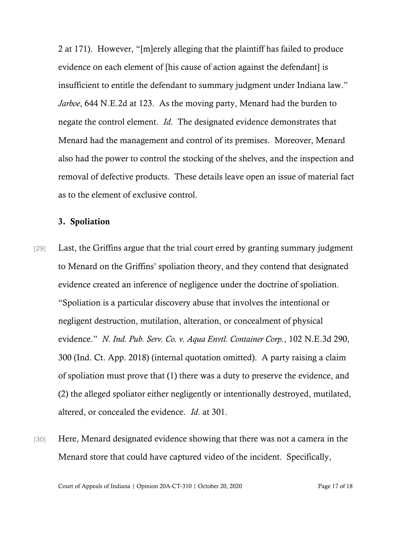2 at 171). However, "[m]erely alleging that the plaintiff has failed to produce evidence on each element of [his cause of action against the defendant] is insufficient to entitle the defendant to summary judgment under Indiana law." *Jarboe*, 644 N.E.2d at 123. As the moving party, Menard had the burden to negate the control element. *Id*. The designated evidence demonstrates that Menard had the management and control of its premises. Moreover, Menard also had the power to control the stocking of the shelves, and the inspection and removal of defective products. These details leave open an issue of material fact as to the element of exclusive control.

### 3. Spoliation

- [29] Last, the Griffins argue that the trial court erred by granting summary judgment to Menard on the Griffins' spoliation theory, and they contend that designated evidence created an inference of negligence under the doctrine of spoliation. "Spoliation is a particular discovery abuse that involves the intentional or negligent destruction, mutilation, alteration, or concealment of physical evidence." *N. Ind. Pub. Serv. Co. v. Aqua Envtl. Container Corp.*, 102 N.E.3d 290, 300 (Ind. Ct. App. 2018) (internal quotation omitted). A party raising a claim of spoliation must prove that (1) there was a duty to preserve the evidence, and (2) the alleged spoliator either negligently or intentionally destroyed, mutilated, altered, or concealed the evidence. *Id*. at 301.
- [30] Here, Menard designated evidence showing that there was not a camera in the Menard store that could have captured video of the incident. Specifically,

Court of Appeals of Indiana | Opinion 20A-CT-310 | October 20, 2020 Page 17 of 18